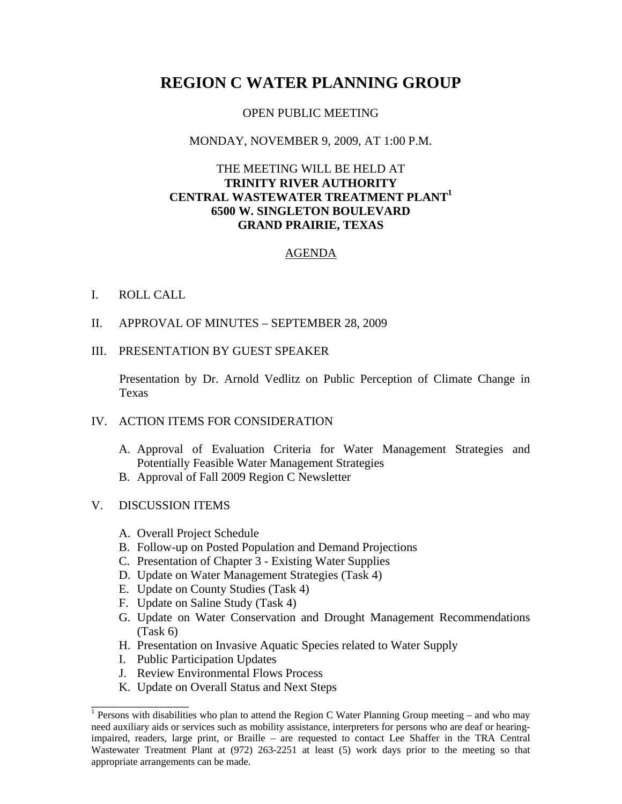# **REGION C WATER PLANNING GROUP**

#### OPEN PUBLIC MEETING

## MONDAY, NOVEMBER 9, 2009, AT 1:00 P.M.

## THE MEETING WILL BE HELD AT **TRINITY RIVER AUTHORITY CENTRAL WASTEWATER TREATMENT PLANT1 6500 W. SINGLETON BOULEVARD GRAND PRAIRIE, TEXAS**

## AGENDA

#### I. ROLL CALL

II. APPROVAL OF MINUTES – SEPTEMBER 28, 2009

#### III. PRESENTATION BY GUEST SPEAKER

Presentation by Dr. Arnold Vedlitz on Public Perception of Climate Change in Texas

# IV. ACTION ITEMS FOR CONSIDERATION

- A. Approval of Evaluation Criteria for Water Management Strategies and Potentially Feasible Water Management Strategies
- B. Approval of Fall 2009 Region C Newsletter

# V. DISCUSSION ITEMS

\_\_\_\_\_\_\_\_\_\_\_\_\_\_\_\_

- A. Overall Project Schedule
- B. Follow-up on Posted Population and Demand Projections
- C. Presentation of Chapter 3 Existing Water Supplies
- D. Update on Water Management Strategies (Task 4)
- E. Update on County Studies (Task 4)
- F. Update on Saline Study (Task 4)
- G. Update on Water Conservation and Drought Management Recommendations (Task 6)
- H. Presentation on Invasive Aquatic Species related to Water Supply
- I. Public Participation Updates
- J. Review Environmental Flows Process
- K. Update on Overall Status and Next Steps

<sup>&</sup>lt;sup>1</sup> Persons with disabilities who plan to attend the Region C Water Planning Group meeting – and who may need auxiliary aids or services such as mobility assistance, interpreters for persons who are deaf or hearingimpaired, readers, large print, or Braille – are requested to contact Lee Shaffer in the TRA Central Wastewater Treatment Plant at (972) 263-2251 at least (5) work days prior to the meeting so that appropriate arrangements can be made.